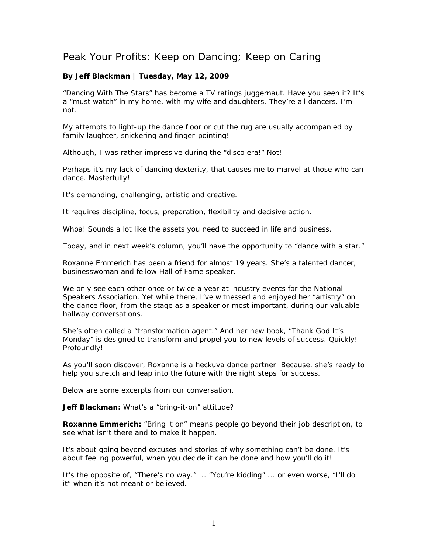## Peak Your Profits: Keep on Dancing; Keep on Caring

## **By Jeff Blackman | Tuesday, May 12, 2009**

"Dancing With The Stars" has become a TV ratings juggernaut. Have you seen it? It's a "must watch" in my home, with my wife and daughters. They're all dancers. I'm not.

My attempts to light-up the dance floor or cut the rug are usually accompanied by family laughter, snickering and finger-pointing!

Although, I was rather impressive during the "disco era!" Not!

Perhaps it's my lack of dancing dexterity, that causes me to marvel at those who can dance. Masterfully!

It's demanding, challenging, artistic and creative.

It requires discipline, focus, preparation, flexibility and decisive action.

Whoa! Sounds a lot like the assets you need to succeed in life and business.

Today, and in next week's column, you'll have the opportunity to "dance with a star."

Roxanne Emmerich has been a friend for almost 19 years. She's a talented dancer, businesswoman and fellow Hall of Fame speaker.

We only see each other once or twice a year at industry events for the National Speakers Association. Yet while there, I've witnessed and enjoyed her "artistry" on the dance floor, from the stage as a speaker or most important, during our valuable hallway conversations.

She's often called a "transformation agent." And her new book, "Thank God It's Monday" is designed to transform and propel you to new levels of success. Quickly! Profoundly!

As you'll soon discover, Roxanne is a heckuva dance partner. Because, she's ready to help you stretch and leap into the future with the right steps for success.

Below are some excerpts from our conversation.

**Jeff Blackman:** What's a "bring-it-on" attitude?

**Roxanne Emmerich:** "Bring it on" means people go beyond their job description, to see what isn't there and to make it happen.

It's about going beyond excuses and stories of why something can't be done. It's about feeling powerful, when you decide it can be done and how you'll do it!

It's the opposite of, "There's no way." ... "You're kidding" ... or even worse, "I'll do it" when it's not meant or believed.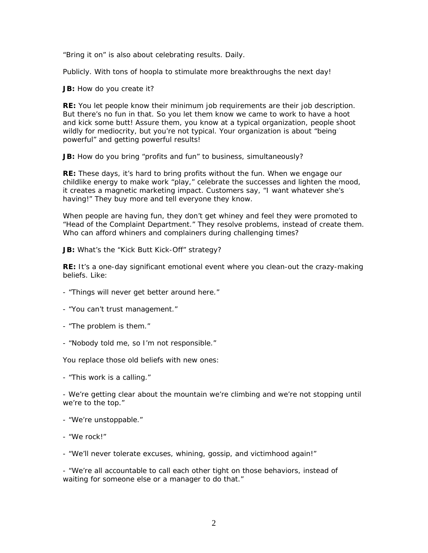"Bring it on" is also about celebrating results. Daily.

Publicly. With tons of hoopla to stimulate more breakthroughs the next day!

**JB:** How do you create it?

**RE:** You let people know their minimum job requirements are their job description. But there's no fun in that. So you let them know we came to work to have a hoot and kick some butt! Assure them, you know at a typical organization, people shoot wildly for mediocrity, but you're not typical. Your organization is about "being powerful" and getting powerful results!

JB: How do you bring "profits and fun" to business, simultaneously?

**RE:** These days, it's hard to bring profits without the fun. When we engage our childlike energy to make work "play," celebrate the successes and lighten the mood, it creates a magnetic marketing impact. Customers say, "I want whatever she's having!" They buy more and tell everyone they know.

When people are having fun, they don't get whiney and feel they were promoted to "Head of the Complaint Department." They resolve problems, instead of create them. Who can afford whiners and complainers during challenging times?

**JB:** What's the "Kick Butt Kick-Off" strategy?

**RE:** It's a one-day significant emotional event where you clean-out the crazy-making beliefs. Like:

- "Things will never get better around here."
- "You can't trust management."
- "The problem is them."
- "Nobody told me, so I'm not responsible."

You replace those old beliefs with new ones:

- "This work is a calling."

- We're getting clear about the mountain we're climbing and we're not stopping until we're to the top."

- "We're unstoppable."
- "We rock!"

- "We'll never tolerate excuses, whining, gossip, and victimhood again!"

- "We're all accountable to call each other tight on those behaviors, instead of waiting for someone else or a manager to do that."